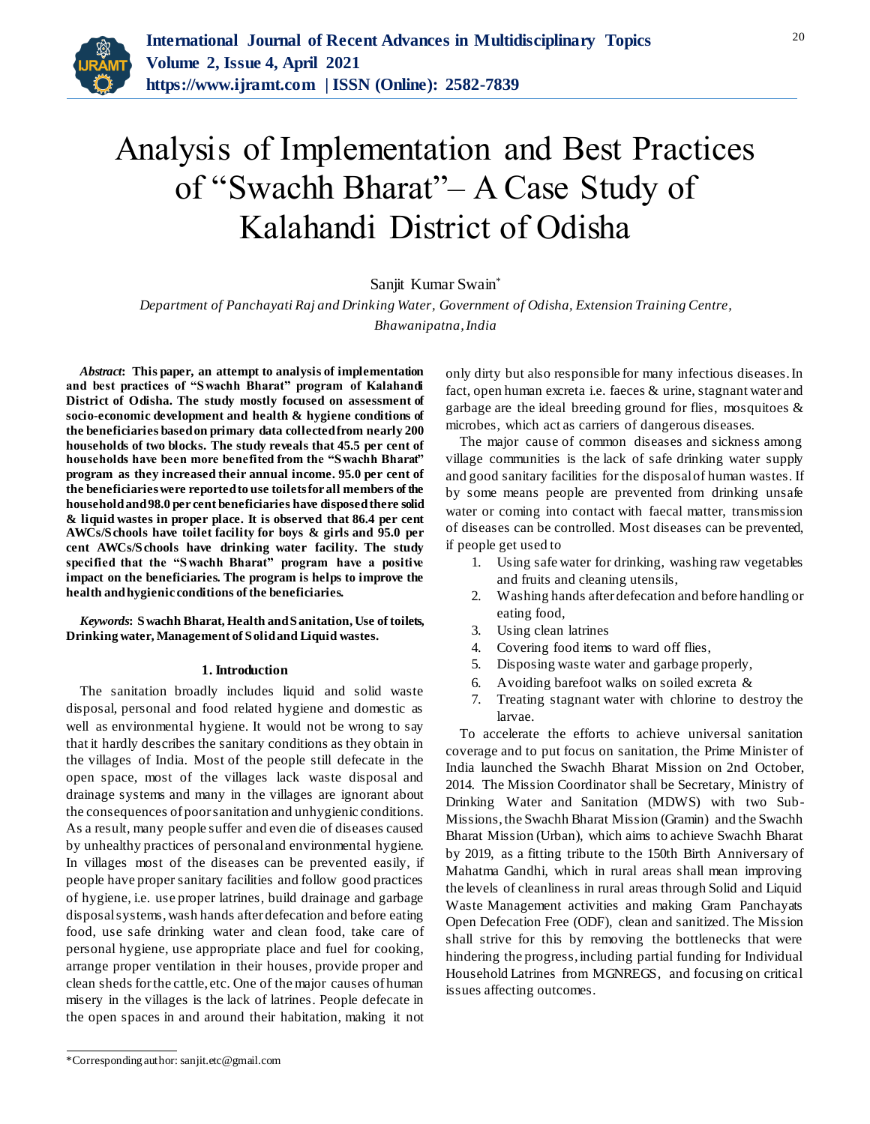

# Analysis of Implementation and Best Practices of "Swachh Bharat"– A Case Study of Kalahandi District of Odisha

# Sanjit Kumar Swain\*

*Department of Panchayati Raj and Drinking Water, Government of Odisha, Extension Training Centre, Bhawanipatna, India*

*Abstract***: This paper, an attempt to analysis of implementation and best practices of "Swachh Bharat" program of Kalahandi District of Odisha. The study mostly focused on assessment of socio-economic development and health & hygiene conditions of the beneficiaries based on primary data collected from nearly 200 households of two blocks. The study reveals that 45.5 per cent of households have been more benefited from the "Swachh Bharat" program as they increased their annual income. 95.0 per cent of the beneficiaries were reported to use toilets for all members of the household and 98.0 per cent beneficiaries have disposed there solid & liquid wastes in proper place. It is observed that 86.4 per cent AWCs/Schools have toilet facility for boys & girls and 95.0 per cent AWCs/Schools have drinking water facility. The study specified that the "Swachh Bharat" program have a positive impact on the beneficiaries. The program is helps to improve the health and hygienic conditions of the beneficiaries.** 

*Keywords***: Swachh Bharat, Health and Sanitation, Use of toilets, Drinking water, Management of Solid and Liquid wastes.** 

#### **1. Introduction**

The sanitation broadly includes liquid and solid waste disposal, personal and food related hygiene and domestic as well as environmental hygiene. It would not be wrong to say that it hardly describes the sanitary conditions as they obtain in the villages of India. Most of the people still defecate in the open space, most of the villages lack waste disposal and drainage systems and many in the villages are ignorant about the consequences of poor sanitation and unhygienic conditions. As a result, many people suffer and even die of diseases caused by unhealthy practices of personal and environmental hygiene. In villages most of the diseases can be prevented easily, if people have proper sanitary facilities and follow good practices of hygiene, i.e. use proper latrines, build drainage and garbage disposal systems, wash hands after defecation and before eating food, use safe drinking water and clean food, take care of personal hygiene, use appropriate place and fuel for cooking, arrange proper ventilation in their houses, provide proper and clean sheds for the cattle, etc. One of the major causes of human misery in the villages is the lack of latrines. People defecate in the open spaces in and around their habitation, making it not

only dirty but also responsible for many infectious diseases. In fact, open human excreta i.e. faeces & urine, stagnant water and garbage are the ideal breeding ground for flies, mosquitoes & microbes, which act as carriers of dangerous diseases.

The major cause of common diseases and sickness among village communities is the lack of safe drinking water supply and good sanitary facilities for the disposal of human wastes. If by some means people are prevented from drinking unsafe water or coming into contact with faecal matter, transmission of diseases can be controlled. Most diseases can be prevented, if people get used to

- 1. Using safe water for drinking, washing raw vegetables and fruits and cleaning utensils,
- 2. Washing hands after defecation and before handling or eating food,
- 3. Using clean latrines
- 4. Covering food items to ward off flies,
- 5. Disposing waste water and garbage properly,
- 6. Avoiding barefoot walks on soiled excreta &
- 7. Treating stagnant water with chlorine to destroy the larvae.

To accelerate the efforts to achieve universal sanitation coverage and to put focus on sanitation, the Prime Minister of India launched the Swachh Bharat Mission on 2nd October, 2014. The Mission Coordinator shall be Secretary, Ministry of Drinking Water and Sanitation (MDWS) with two Sub-Missions, the Swachh Bharat Mission (Gramin) and the Swachh Bharat Mission (Urban), which aims to achieve Swachh Bharat by 2019, as a fitting tribute to the 150th Birth Anniversary of Mahatma Gandhi, which in rural areas shall mean improving the levels of cleanliness in rural areas through Solid and Liquid Waste Management activities and making Gram Panchayats Open Defecation Free (ODF), clean and sanitized. The Mission shall strive for this by removing the bottlenecks that were hindering the progress, including partial funding for Individual Household Latrines from MGNREGS, and focusing on critical issues affecting outcomes.

<sup>\*</sup>Corresponding author: sanjit.etc@gmail.com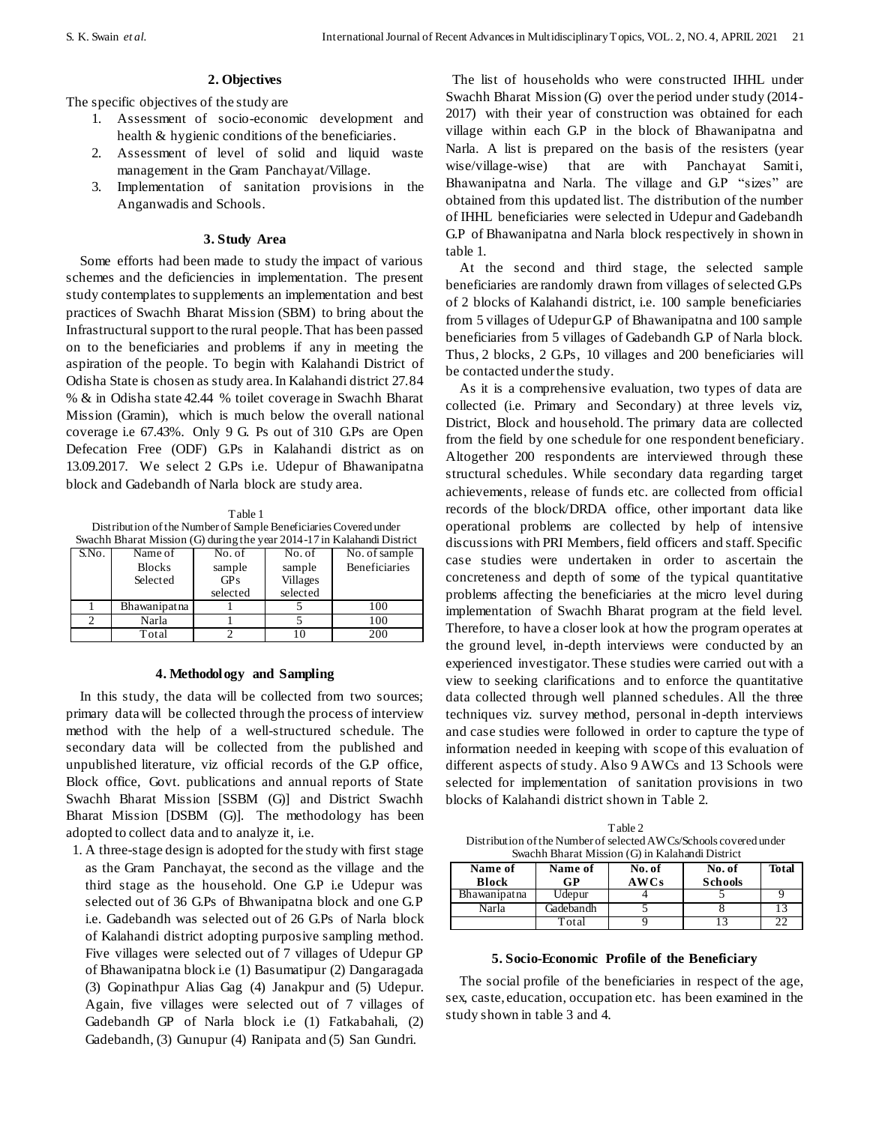## **2. Objectives**

The specific objectives of the study are

- 1. Assessment of socio-economic development and health & hygienic conditions of the beneficiaries.
- 2. Assessment of level of solid and liquid waste management in the Gram Panchayat/Village.
- 3. Implementation of sanitation provisions in the Anganwadis and Schools.

#### **3. Study Area**

Some efforts had been made to study the impact of various schemes and the deficiencies in implementation. The present study contemplates to supplements an implementation and best practices of Swachh Bharat Mission (SBM) to bring about the Infrastructural support to the rural people. That has been passed on to the beneficiaries and problems if any in meeting the aspiration of the people. To begin with Kalahandi District of Odisha State is chosen as study area. In Kalahandi district 27.84 % & in Odisha state 42.44 % toilet coverage in Swachh Bharat Mission (Gramin), which is much below the overall national coverage i.e 67.43%. Only 9 G. Ps out of 310 G.Ps are Open Defecation Free (ODF) G.Ps in Kalahandi district as on 13.09.2017. We select 2 G.Ps i.e. Udepur of Bhawanipatna block and Gadebandh of Narla block are study area.

Table 1 Distribution of the Number of Sample Beneficiaries Covered under Swachh Bharat Mission (G) during the year 2014-17 in Kalahandi District

|       | $500$ and the price of $1000$ and $1000$ and $1000$ and $201$ + $11$ and $1000$ and $1000$ |            |                 |                           |  |  |  |  |  |  |
|-------|--------------------------------------------------------------------------------------------|------------|-----------------|---------------------------|--|--|--|--|--|--|
| S.No. | Name of                                                                                    | No. of     | No. of          | $\overline{No}$ of sample |  |  |  |  |  |  |
|       | <b>Blocks</b>                                                                              | sample     | sample          | <b>Beneficiaries</b>      |  |  |  |  |  |  |
|       | Selected                                                                                   | <b>GPs</b> | <b>Villages</b> |                           |  |  |  |  |  |  |
|       |                                                                                            | selected   | selected        |                           |  |  |  |  |  |  |
|       | Bhawanipatna                                                                               |            |                 | 100                       |  |  |  |  |  |  |
|       | Narla                                                                                      |            |                 | 100                       |  |  |  |  |  |  |
|       | Total                                                                                      |            |                 | 200                       |  |  |  |  |  |  |

#### **4. Methodology and Sampling**

In this study, the data will be collected from two sources; primary data will be collected through the process of interview method with the help of a well-structured schedule. The secondary data will be collected from the published and unpublished literature, viz official records of the G.P office, Block office, Govt. publications and annual reports of State Swachh Bharat Mission [SSBM (G)] and District Swachh Bharat Mission [DSBM (G)]. The methodology has been adopted to collect data and to analyze it, i.e.

1. A three-stage design is adopted for the study with first stage as the Gram Panchayat, the second as the village and the third stage as the household. One G.P i.e Udepur was selected out of 36 G.Ps of Bhwanipatna block and one G.P i.e. Gadebandh was selected out of 26 G.Ps of Narla block of Kalahandi district adopting purposive sampling method. Five villages were selected out of 7 villages of Udepur GP of Bhawanipatna block i.e (1) Basumatipur (2) Dangaragada (3) Gopinathpur Alias Gag (4) Janakpur and (5) Udepur. Again, five villages were selected out of 7 villages of Gadebandh GP of Narla block i.e (1) Fatkabahali, (2) Gadebandh, (3) Gunupur (4) Ranipata and (5) San Gundri.

The list of households who were constructed IHHL under Swachh Bharat Mission (G) over the period under study (2014- 2017) with their year of construction was obtained for each village within each G.P in the block of Bhawanipatna and Narla. A list is prepared on the basis of the resisters (year wise/village-wise) that are with Panchayat Samiti, Bhawanipatna and Narla. The village and G.P "sizes" are obtained from this updated list. The distribution of the number of IHHL beneficiaries were selected in Udepur and Gadebandh G.P of Bhawanipatna and Narla block respectively in shown in table 1.

At the second and third stage, the selected sample beneficiaries are randomly drawn from villages of selected G.Ps of 2 blocks of Kalahandi district, i.e. 100 sample beneficiaries from 5 villages of Udepur G.P of Bhawanipatna and 100 sample beneficiaries from 5 villages of Gadebandh G.P of Narla block. Thus, 2 blocks, 2 G.Ps, 10 villages and 200 beneficiaries will be contacted under the study.

As it is a comprehensive evaluation, two types of data are collected (i.e. Primary and Secondary) at three levels viz, District, Block and household. The primary data are collected from the field by one schedule for one respondent beneficiary. Altogether 200 respondents are interviewed through these structural schedules. While secondary data regarding target achievements, release of funds etc. are collected from official records of the block/DRDA office, other important data like operational problems are collected by help of intensive discussions with PRI Members, field officers and staff. Specific case studies were undertaken in order to ascertain the concreteness and depth of some of the typical quantitative problems affecting the beneficiaries at the micro level during implementation of Swachh Bharat program at the field level. Therefore, to have a closer look at how the program operates at the ground level, in-depth interviews were conducted by an experienced investigator. These studies were carried out with a view to seeking clarifications and to enforce the quantitative data collected through well planned schedules. All the three techniques viz. survey method, personal in-depth interviews and case studies were followed in order to capture the type of information needed in keeping with scope of this evaluation of different aspects of study. Also 9 AWCs and 13 Schools were selected for implementation of sanitation provisions in two blocks of Kalahandi district shown in Table 2.

Table 2 Distribution of the Number of selected AWCs/Schools covered under  $S$ wachh Bharat Mission  $(G)$  in Kalahandi District

| Name of<br><b>Block</b> | Name of<br>GP | No. of<br>AWCs | No. of<br><b>Schools</b> | Total |
|-------------------------|---------------|----------------|--------------------------|-------|
| <b>Bhawanipatna</b>     | Udepur        |                |                          |       |
| Narla                   | Gadebandh     |                |                          |       |
|                         | `otal         |                |                          |       |

#### **5. Socio-Economic Profile of the Beneficiary**

The social profile of the beneficiaries in respect of the age, sex, caste, education, occupation etc. has been examined in the study shown in table 3 and 4.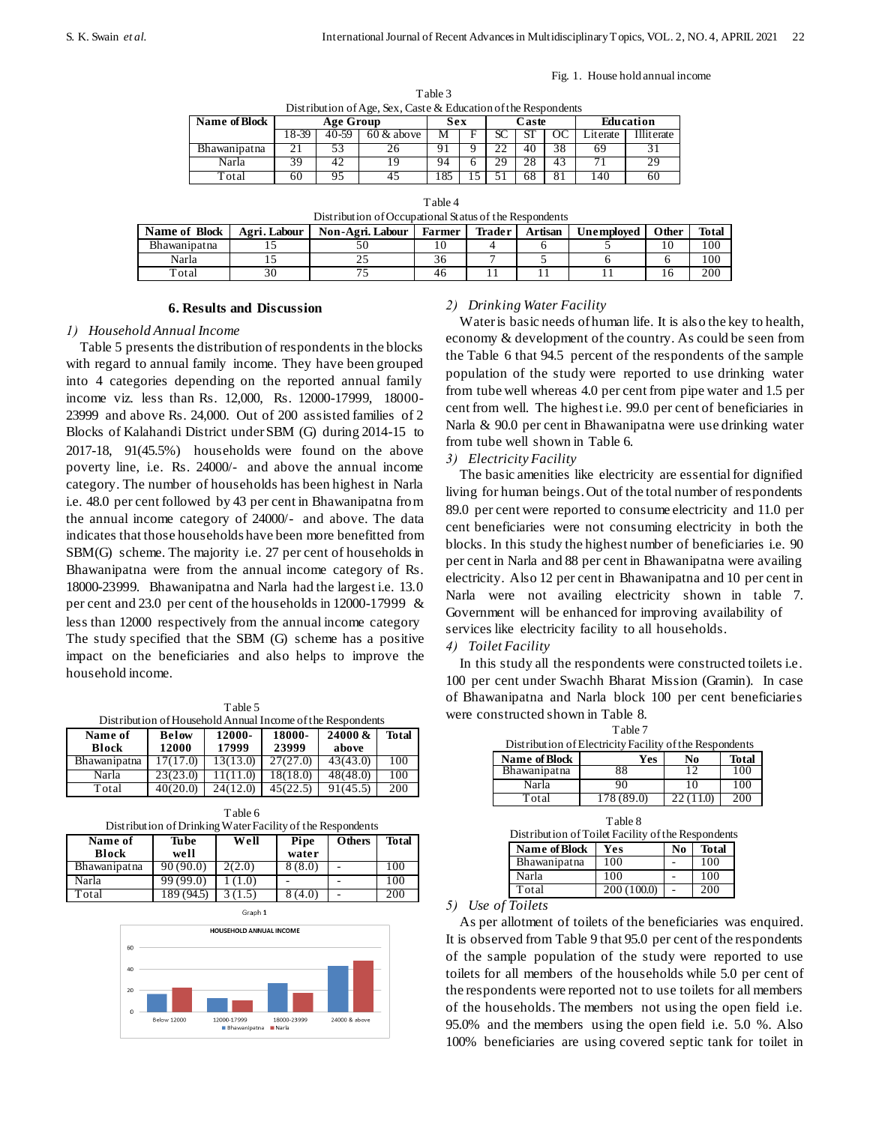|  |  | Fig. 1. House hold annual income |
|--|--|----------------------------------|
|  |  |                                  |

| тане э                                                         |  |
|----------------------------------------------------------------|--|
| Distribution of Age, Sex, Caste & Education of the Respondents |  |

| Distribution 017 rgc, DCA, Caste & Education of the respondents |           |       |               |              |  |    |           |     |          |                  |
|-----------------------------------------------------------------|-----------|-------|---------------|--------------|--|----|-----------|-----|----------|------------------|
| Name of Block                                                   | Age Group |       |               | Sex<br>Caste |  |    | Education |     |          |                  |
|                                                                 | 8-39      | 40-59 | $60 \&$ above | ΙVΙ          |  |    | ا د       | -OC | .iterate | <b>Iliterate</b> |
| Bhawanipatna                                                    |           |       |               |              |  |    | 40        | 38  | 69       |                  |
| Narla                                                           |           |       |               | 94           |  | 29 | 28        | 43  |          | 29               |
| otal                                                            | 60        |       |               |              |  |    | 68        | 81  | 40       | 60               |

Table 2

Table 4

| Distribution of Occupational Status of the Respondents |              |                  |               |        |         |            |       |       |  |  |  |
|--------------------------------------------------------|--------------|------------------|---------------|--------|---------|------------|-------|-------|--|--|--|
| <b>Name of Block</b>                                   | Agri. Labour | Non-Agri. Labour | <b>Farmer</b> | Trader | Artisan | Unemployed | Other | Total |  |  |  |
| Bhawanipatna                                           |              | 50               |               |        |         |            |       | 100   |  |  |  |
| Narla                                                  |              |                  | 36            |        |         |            |       | 100   |  |  |  |
| Total                                                  | 30           |                  | 46            |        |         |            |       | 200   |  |  |  |

## **6. Results and Discussion**

## *1) Household Annual Income*

Table 5 presents the distribution of respondents in the blocks with regard to annual family income. They have been grouped into 4 categories depending on the reported annual family income viz. less than Rs. 12,000, Rs. 12000-17999, 18000- 23999 and above Rs. 24,000. Out of 200 assisted families of 2 Blocks of Kalahandi District under SBM (G) during 2014-15 to 2017-18, 91(45.5%) households were found on the above poverty line, i.e. Rs. 24000/- and above the annual income category. The number of households has been highest in Narla i.e. 48.0 per cent followed by 43 per cent in Bhawanipatna from the annual income category of 24000/- and above. The data indicates that those households have been more benefitted from SBM(G) scheme. The majority i.e. 27 per cent of households in Bhawanipatna were from the annual income category of Rs. 18000-23999. Bhawanipatna and Narla had the largest i.e. 13.0 per cent and 23.0 per cent of the households in 12000-17999 & less than 12000 respectively from the annual income category The study specified that the SBM (G) scheme has a positive impact on the beneficiaries and also helps to improve the household income.

Table 5 Distribution of Household Annual Income of the Respondents

| Name of             | <b>Below</b> | 12000-   | 18000-   | 24000 &  | Total |
|---------------------|--------------|----------|----------|----------|-------|
| <b>Block</b>        | 12000        | 17999    | 23999    | above    |       |
| <b>Bhawanipatna</b> | 17(17.0)     | 13(13.0) | 27(27.0) | 43(43.0) | 100   |
| Narla               | 23(23.0)     | (1111.0) | 18(18.0) | 48(48.0) | 100   |
| Total               | 40(20.0)     | 24(12.0) | 45(22.5) | 91(45.5) | 200   |

| Table 6                                                   |  |
|-----------------------------------------------------------|--|
| Distribution of Dripling Water Facility of the Despondent |  |

| Name of<br><b>Block</b> | Distribution of Drimming <i>Water I active of the Respondents</i><br>Tube<br>well | Well   | Pipe<br>water | <b>Others</b> | Total |
|-------------------------|-----------------------------------------------------------------------------------|--------|---------------|---------------|-------|
| Bhawanipatna            | 90(90.0)                                                                          | 2(2.0) | 8(8.0)        |               | 100   |
| Narla                   | 99(99.0)                                                                          | (1.0)  |               |               | 100   |
| Total                   | 189 (94.5)                                                                        |        | (4.0)         |               | 200   |



## *2) Drinking Water Facility*

Water is basic needs of human life. It is also the key to health, economy & development of the country. As could be seen from the Table 6 that 94.5 percent of the respondents of the sample population of the study were reported to use drinking water from tube well whereas 4.0 per cent from pipe water and 1.5 per cent from well. The highest i.e. 99.0 per cent of beneficiaries in Narla & 90.0 per cent in Bhawanipatna were use drinking water from tube well shown in Table 6.

## *3) Electricity Facility*

The basic amenities like electricity are essential for dignified living for human beings. Out of the total number of respondents 89.0 per cent were reported to consume electricity and 11.0 per cent beneficiaries were not consuming electricity in both the blocks. In this study the highest number of beneficiaries i.e. 90 per cent in Narla and 88 per cent in Bhawanipatna were availing electricity. Also 12 per cent in Bhawanipatna and 10 per cent in Narla were not availing electricity shown in table 7. Government will be enhanced for improving availability of services like electricity facility to all households. *4) Toilet Facility*

# In this study all the respondents were constructed toilets i.e. 100 per cent under Swachh Bharat Mission (Gramin). In case of Bhawanipatna and Narla block 100 per cent beneficiaries were constructed shown in Table 8.

| Distribution of Electricity Facility of the Respondents |                         |                |              |  |  |  |  |  |  |  |
|---------------------------------------------------------|-------------------------|----------------|--------------|--|--|--|--|--|--|--|
| Name of Block                                           | Yes                     | No             | <b>Total</b> |  |  |  |  |  |  |  |
| <b>Bhawanipatna</b>                                     | 88                      | $\overline{1}$ | 100          |  |  |  |  |  |  |  |
| Narla                                                   | 90                      |                | 100          |  |  |  |  |  |  |  |
| Total                                                   | $\overline{178}$ (89.0) |                | 200          |  |  |  |  |  |  |  |

Table 7

| Table 8<br>Distribution of Toilet Facility of the Respondents |             |    |              |  |  |  |  |  |
|---------------------------------------------------------------|-------------|----|--------------|--|--|--|--|--|
| <b>Name of Block</b>                                          | Yes         | No | <b>Total</b> |  |  |  |  |  |
| Bhawanipatna                                                  | 100         |    | 100          |  |  |  |  |  |
| Narla                                                         | 100         |    | 100          |  |  |  |  |  |
| Total                                                         | 200 (100.0) |    | 200          |  |  |  |  |  |

## *5) Use of Toilets*

As per allotment of toilets of the beneficiaries was enquired. It is observed from Table 9 that 95.0 per cent of the respondents of the sample population of the study were reported to use toilets for all members of the households while 5.0 per cent of the respondents were reported not to use toilets for all members of the households. The members not using the open field i.e. 95.0% and the members using the open field i.e. 5.0 %. Also 100% beneficiaries are using covered septic tank for toilet in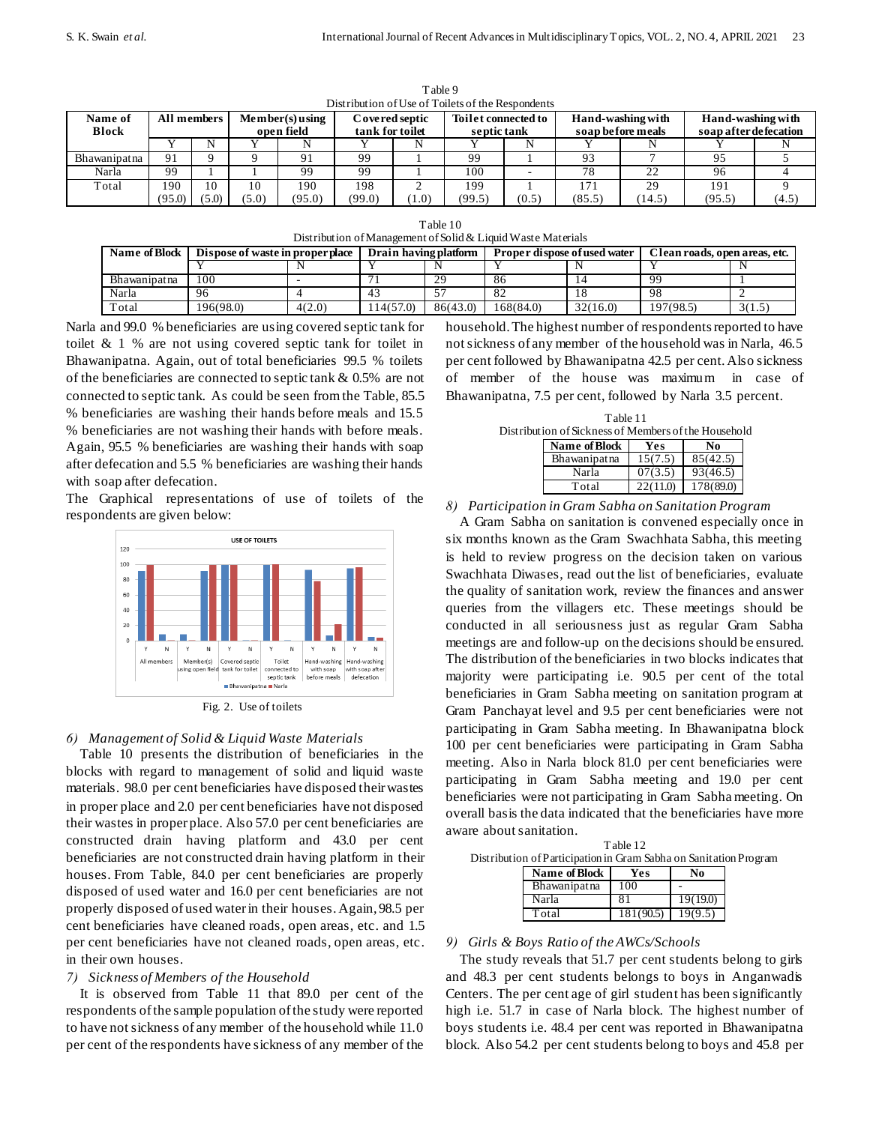|                  | Distribution of Use of Tonets of the Respondents |       |       |                                 |                                   |      |                                    |       |        |                                        |                                            |       |
|------------------|--------------------------------------------------|-------|-------|---------------------------------|-----------------------------------|------|------------------------------------|-------|--------|----------------------------------------|--------------------------------------------|-------|
| Name of<br>Block | All members                                      |       |       | $Member(s)$ using<br>open field | Covered septic<br>tank for toilet |      | Toilet connected to<br>septic tank |       |        | Hand-washing with<br>soap before meals | Hand-washing with<br>soap after defecation |       |
|                  |                                                  |       |       |                                 |                                   |      |                                    |       |        |                                        |                                            |       |
| Bhawanipatna     | 91                                               |       |       |                                 | 99                                |      | 99                                 |       | 93     |                                        | 95                                         |       |
| Narla            | 99                                               |       |       | 99                              | 99                                |      | 100                                |       | 78     | 22                                     | 96                                         |       |
| Total            | 190                                              | 10    |       | 190                             | 198                               |      | 199                                |       | 171    | 29                                     | 191                                        |       |
|                  | (95.0)                                           | (5.0) | (5.0) | (95.0)                          | (99.0)                            | 1.0) | (99.5)                             | (0.5) | (85.5) | (14.5)                                 | (95.5)                                     | (4.5) |

Table 9 of Use of Toilets of the Resp

| Table 10                                                     |
|--------------------------------------------------------------|
| Distribution of Management of Solid & Liquid Waste Materials |

| Name of Block | Dispose of waste in proper place |        | Drain having platform |          | Proper dispose of used water |          | Clean roads, open areas, etc. |        |
|---------------|----------------------------------|--------|-----------------------|----------|------------------------------|----------|-------------------------------|--------|
|               |                                  |        |                       |          |                              |          |                               |        |
| Bhawanipatna  | 100                              |        |                       | 29       | 86                           |          | 99                            |        |
| Narla         | 96                               |        |                       |          |                              |          | 98                            |        |
| Total         | 196(98.0)                        | 4(2.0) | 14(57.0)              | 86(43.0) | 168(84.0)                    | 32(16.0) | 197(98.5)                     | 3(1.5) |

Narla and 99.0 % beneficiaries are using covered septic tank for toilet & 1 % are not using covered septic tank for toilet in Bhawanipatna. Again, out of total beneficiaries 99.5 % toilets of the beneficiaries are connected to septic tank & 0.5% are not connected to septic tank. As could be seen from the Table, 85.5 % beneficiaries are washing their hands before meals and 15.5 % beneficiaries are not washing their hands with before meals. Again, 95.5 % beneficiaries are washing their hands with soap after defecation and 5.5 % beneficiaries are washing their hands with soap after defecation.

The Graphical representations of use of toilets of the respondents are given below:



Fig. 2. Use of toilets

# *6) Management of Solid & Liquid Waste Materials*

Table 10 presents the distribution of beneficiaries in the blocks with regard to management of solid and liquid waste materials. 98.0 per cent beneficiaries have disposed their wastes in proper place and 2.0 per cent beneficiaries have not disposed their wastes in proper place. Also 57.0 per cent beneficiaries are constructed drain having platform and 43.0 per cent beneficiaries are not constructed drain having platform in their houses. From Table, 84.0 per cent beneficiaries are properly disposed of used water and 16.0 per cent beneficiaries are not properly disposed of used water in their houses. Again, 98.5 per cent beneficiaries have cleaned roads, open areas, etc. and 1.5 per cent beneficiaries have not cleaned roads, open areas, etc. in their own houses.

# *7) Sickness of Members of the Household*

It is observed from Table 11 that 89.0 per cent of the respondents of the sample population of the study were reported to have not sickness of any member of the household while 11.0 per cent of the respondents have sickness of any member of the

household. The highest number of respondents reported to have not sickness of any member of the household was in Narla, 46.5 per cent followed by Bhawanipatna 42.5 per cent. Also sickness of member of the house was maximum in case of Bhawanipatna, 7.5 per cent, followed by Narla 3.5 percent.

Table 11 Distribution of Sickness of Members of the Household **Name of Block Yes No**

| Name of Block | Yes      | No.       |
|---------------|----------|-----------|
| Bhawanipatna  | 15(7.5)  | 85(42.5)  |
| Narla         | 07(3.5)  | 93(46.5)  |
| Total         | 22(11.0) | 178(89.0) |

*8) Participation in Gram Sabha on Sanitation Program* 

A Gram Sabha on sanitation is convened especially once in six months known as the Gram Swachhata Sabha, this meeting is held to review progress on the decision taken on various Swachhata Diwases, read out the list of beneficiaries, evaluate the quality of sanitation work, review the finances and answer queries from the villagers etc. These meetings should be conducted in all seriousness just as regular Gram Sabha meetings are and follow-up on the decisions should be ensured. The distribution of the beneficiaries in two blocks indicates that majority were participating i.e. 90.5 per cent of the total beneficiaries in Gram Sabha meeting on sanitation program at Gram Panchayat level and 9.5 per cent beneficiaries were not participating in Gram Sabha meeting. In Bhawanipatna block 100 per cent beneficiaries were participating in Gram Sabha meeting. Also in Narla block 81.0 per cent beneficiaries were participating in Gram Sabha meeting and 19.0 per cent beneficiaries were not participating in Gram Sabha meeting. On overall basis the data indicated that the beneficiaries have more aware about sanitation.

Table 12 Distribution of Participation in Gram Sabha on Sanitation Program

| Name of Block | Yes       | No       |
|---------------|-----------|----------|
| Bhawanipatna  | 100       |          |
| Narla         | 8.        | 19(19.0) |
| Total         | 181(90.5) | 19(9.5)  |

# *9) Girls & Boys Ratio of the AWCs/Schools*

The study reveals that 51.7 per cent students belong to girls and 48.3 per cent students belongs to boys in Anganwadis Centers. The per cent age of girl student has been significantly high i.e. 51.7 in case of Narla block. The highest number of boys students i.e. 48.4 per cent was reported in Bhawanipatna block. Also 54.2 per cent students belong to boys and 45.8 per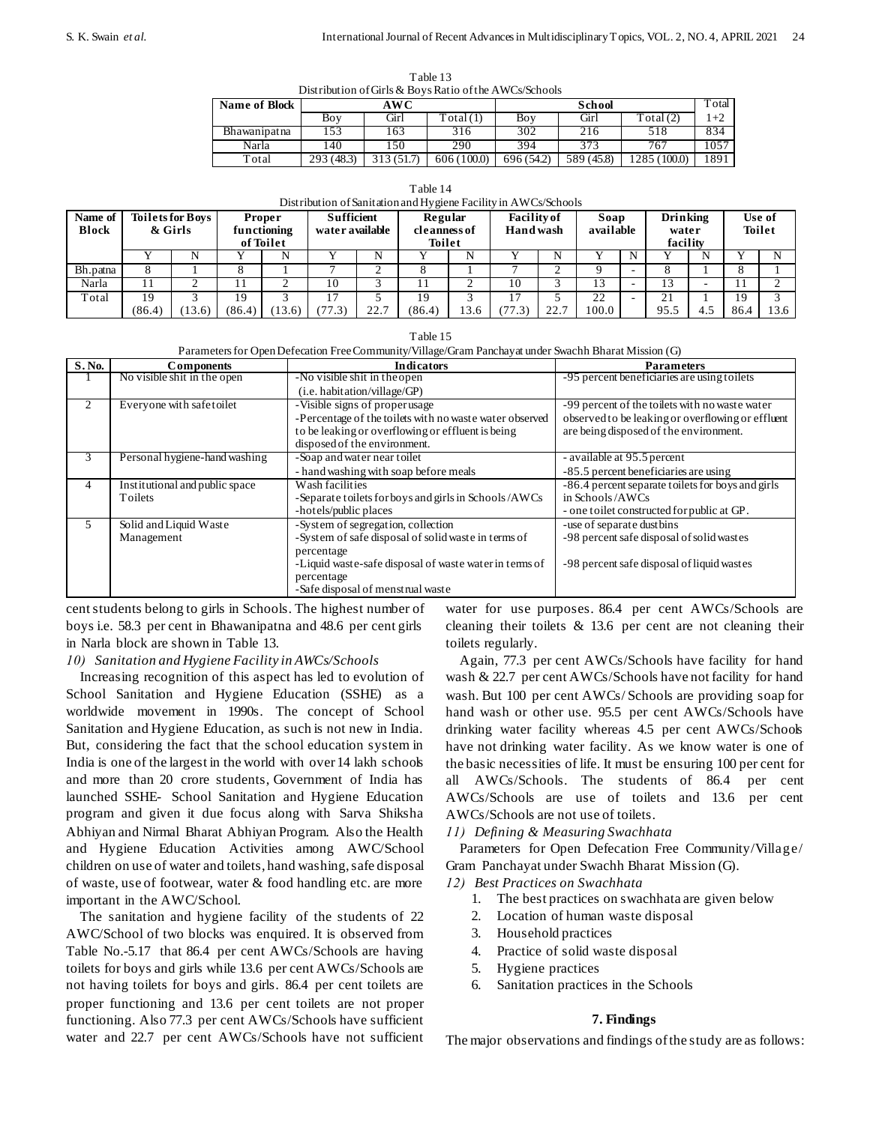| Table 13                                               |
|--------------------------------------------------------|
| Distribution of Girls & Boys Ratio of the AWCs/Schools |

| <b>Name of Block</b> |            | AWC        |            |            | `otal      |              |      |
|----------------------|------------|------------|------------|------------|------------|--------------|------|
|                      | Boy        | Girl       | otal (1)   | Boy        | Girl       | Total(2)     | $+2$ |
| Bhawanipatna         | .53        | 163        | 316        | 302        | 216        | 518          | 834  |
| Narla                | !40        | 150        | 290        | 394        | 373        | 767          | 1057 |
| Total                | 293 (48.3) | 313 (51.7) | 606(100.0) | 696 (54.2) | 589 (45.8) | 1285 (100.0) | 1891 |

Table 14

|  |  | Distribution of Sanitation and Hygiene Facility in AWCs/Schools |
|--|--|-----------------------------------------------------------------|
|  |  |                                                                 |

| Distribution of paintenon and Hygiene I achity in Terr Corpensors |        |                                    |        |                              |                                      |      |                         |      |                                        |      |                   |   |                   |      |      |                         |
|-------------------------------------------------------------------|--------|------------------------------------|--------|------------------------------|--------------------------------------|------|-------------------------|------|----------------------------------------|------|-------------------|---|-------------------|------|------|-------------------------|
| Name of<br><b>Block</b>                                           |        | <b>Toilets for Boys</b><br>& Girls |        | <b>Proper</b><br>functioning | <b>Sufficient</b><br>water available |      | Regular<br>cleanness of |      | <b>Facility</b> of<br><b>Hand</b> wash |      | Soap<br>available |   | Drinking<br>water |      |      | Use of<br><b>Toilet</b> |
|                                                                   |        |                                    |        | of Toilet                    |                                      |      | <b>Toilet</b>           |      |                                        |      |                   |   | facility          |      |      |                         |
|                                                                   |        |                                    |        |                              |                                      |      |                         | N    |                                        | N    |                   | N |                   |      |      |                         |
| Bh.patna                                                          |        |                                    |        |                              |                                      |      |                         |      |                                        |      |                   |   |                   |      |      |                         |
| Narla                                                             |        |                                    |        |                              | 10                                   |      |                         |      | 10                                     |      | 13                |   | 13                | -    |      |                         |
| Total                                                             | 19     |                                    | 19     |                              |                                      |      | 19                      |      | ۱7                                     |      | 22                |   | 21                |      | 19   |                         |
|                                                                   | (86.4) | (13.6)                             | (86.4) | 13.6)                        |                                      | 22.7 | (86.4)                  | 13.6 | 77.3)                                  | 22.7 | 100.0             |   | 95.5              | -4.5 | 86.4 | $13.6$                  |

Table 15 Parameters for Open Defecation Free Community/Village/Gram Panchayat under Swachh Bharat Mission (G)

|              |                                | r arameters for OpenDereddion I rec commanty vinage Stan I anemy a ander Boaten Briand Prisoner (O) |                                                   |
|--------------|--------------------------------|-----------------------------------------------------------------------------------------------------|---------------------------------------------------|
| <b>S.No.</b> | <b>Components</b>              | <b>Indicators</b>                                                                                   | <b>Parameters</b>                                 |
|              | No visible shit in the open    | -No visible shit in the open                                                                        | -95 percent beneficiaries are using to lets       |
|              |                                | (i.e. habitation/ville/GP)                                                                          |                                                   |
| 2            | Everyone with safetoilet       | -Visible signs of properusage                                                                       | -99 percent of the toilets with no waste water    |
|              |                                | -Percentage of the toilets with no waste water observed                                             | observed to be leaking or overflowing or effluent |
|              |                                | to be leaking or overflowing or effluent is being                                                   | are being disposed of the environment.            |
|              |                                | disposed of the environment.                                                                        |                                                   |
| 3            | Personal hygiene-hand washing  | -Soap and water near toilet                                                                         | - available at 95.5 percent                       |
|              |                                | - hand washing with soap before meals                                                               | -85.5 percent beneficiaries are using             |
| 4            | Institutional and public space | Wash facilities                                                                                     | -86.4 percent separate toilets for boys and girls |
|              | Toilets                        | -Separate toilets for boys and girls in Schools/AWCs                                                | in Schools/AWCs                                   |
|              |                                | -hotels/public places                                                                               | - one toilet constructed for public at GP.        |
| 5            | Solid and Liquid Waste         | -System of segregation, collection                                                                  | -use of separate dustbins                         |
|              | Management                     | -System of safe disposal of solid waste in terms of                                                 | -98 percent safe disposal of solid wastes         |
|              |                                | percentage                                                                                          |                                                   |
|              |                                | -Liquid waste-safe disposal of waste water in terms of                                              | -98 percent safe disposal of liquid wastes        |
|              |                                | percentage                                                                                          |                                                   |
|              |                                | -Safe disposal of menstrual waste                                                                   |                                                   |

cent students belong to girls in Schools. The highest number of boys i.e. 58.3 per cent in Bhawanipatna and 48.6 per cent girls in Narla block are shown in Table 13.

# *10) Sanitation and Hygiene Facility in AWCs/Schools*

Increasing recognition of this aspect has led to evolution of School Sanitation and Hygiene Education (SSHE) as a worldwide movement in 1990s. The concept of School Sanitation and Hygiene Education, as such is not new in India. But, considering the fact that the school education system in India is one of the largest in the world with over 14 lakh schools and more than 20 crore students, Government of India has launched SSHE- School Sanitation and Hygiene Education program and given it due focus along with Sarva Shiksha Abhiyan and Nirmal Bharat Abhiyan Program. Also the Health and Hygiene Education Activities among AWC/School children on use of water and toilets, hand washing, safe disposal of waste, use of footwear, water & food handling etc. are more important in the AWC/School.

The sanitation and hygiene facility of the students of 22 AWC/School of two blocks was enquired. It is observed from Table No.-5.17 that 86.4 per cent AWCs/Schools are having toilets for boys and girls while 13.6 per cent AWCs/Schools are not having toilets for boys and girls. 86.4 per cent toilets are proper functioning and 13.6 per cent toilets are not proper functioning. Also 77.3 per cent AWCs/Schools have sufficient water and 22.7 per cent AWCs/Schools have not sufficient

water for use purposes. 86.4 per cent AWCs/Schools are cleaning their toilets  $\&$  13.6 per cent are not cleaning their toilets regularly.

Again, 77.3 per cent AWCs/Schools have facility for hand wash & 22.7 per cent AWCs/Schools have not facility for hand wash. But 100 per cent AWCs/ Schools are providing soap for hand wash or other use. 95.5 per cent AWCs/Schools have drinking water facility whereas 4.5 per cent AWCs/Schools have not drinking water facility. As we know water is one of the basic necessities of life. It must be ensuring 100 per cent for all AWCs/Schools. The students of 86.4 per cent AWCs/Schools are use of toilets and 13.6 per cent AWCs/Schools are not use of toilets.

# *11) Defining & Measuring Swachhata*

Parameters for Open Defecation Free Community/Village/ Gram Panchayat under Swachh Bharat Mission (G).

# *12) Best Practices on Swachhata*

- 1. The best practices on swachhata are given below
- 2. Location of human waste disposal
- 3. Household practices
- 4. Practice of solid waste disposal
- 5. Hygiene practices
- 6. Sanitation practices in the Schools

#### **7. Findings**

The major observations and findings of the study are as follows: